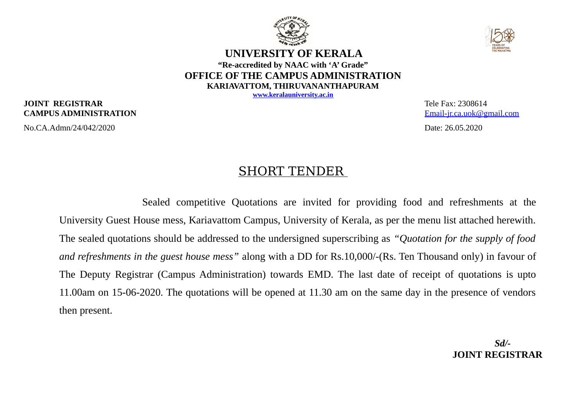



### **UNIVERSITY OF KERALA "Re-accredited by NAAC with 'A' Grade" OFFICE OF THE CAMPUS ADMINISTRATION KARIAVATTOM, THIRUVANANTHAPURAM**

**[www.keralauniversity.ac.in](http://www.keralauniversity.ac.in/)**

#### **JOINT REGISTRAR** Tele Fax: 2308614 **CAMPUS ADMINISTRATION** Email-ir.ca.uok@gmail.com

No.CA.Admn/24/042/2020 Date: 26.05.2020

## SHORT TENDER

Sealed competitive Quotations are invited for providing food and refreshments at the University Guest House mess, Kariavattom Campus, University of Kerala, as per the menu list attached herewith. The sealed quotations should be addressed to the undersigned superscribing as *"Quotation for the supply of food and refreshments in the guest house mess"* along with a DD for Rs.10,000/-(Rs. Ten Thousand only) in favour of The Deputy Registrar (Campus Administration) towards EMD. The last date of receipt of quotations is upto 11.00am on 15-06-2020. The quotations will be opened at 11.30 am on the same day in the presence of vendors then present.

> *Sd/-*  **JOINT REGISTRAR**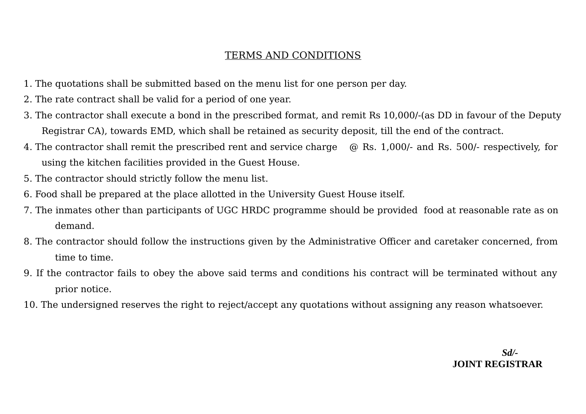## TERMS AND CONDITIONS

- 1. The quotations shall be submitted based on the menu list for one person per day.
- 2. The rate contract shall be valid for a period of one year.
- 3. The contractor shall execute a bond in the prescribed format, and remit Rs 10,000/-(as DD in favour of the Deputy Registrar CA), towards EMD, which shall be retained as security deposit, till the end of the contract.
- 4. The contractor shall remit the prescribed rent and service charge  $\omega$  Rs. 1,000/- and Rs. 500/- respectively, for using the kitchen facilities provided in the Guest House.
- 5. The contractor should strictly follow the menu list.
- 6. Food shall be prepared at the place allotted in the University Guest House itself.
- 7. The inmates other than participants of UGC HRDC programme should be provided food at reasonable rate as on demand.
- 8. The contractor should follow the instructions given by the Administrative Officer and caretaker concerned, from time to time.
- 9. If the contractor fails to obey the above said terms and conditions his contract will be terminated without any prior notice.
- 10. The undersigned reserves the right to reject/accept any quotations without assigning any reason whatsoever.

*Sd/-* **JOINT REGISTRAR**